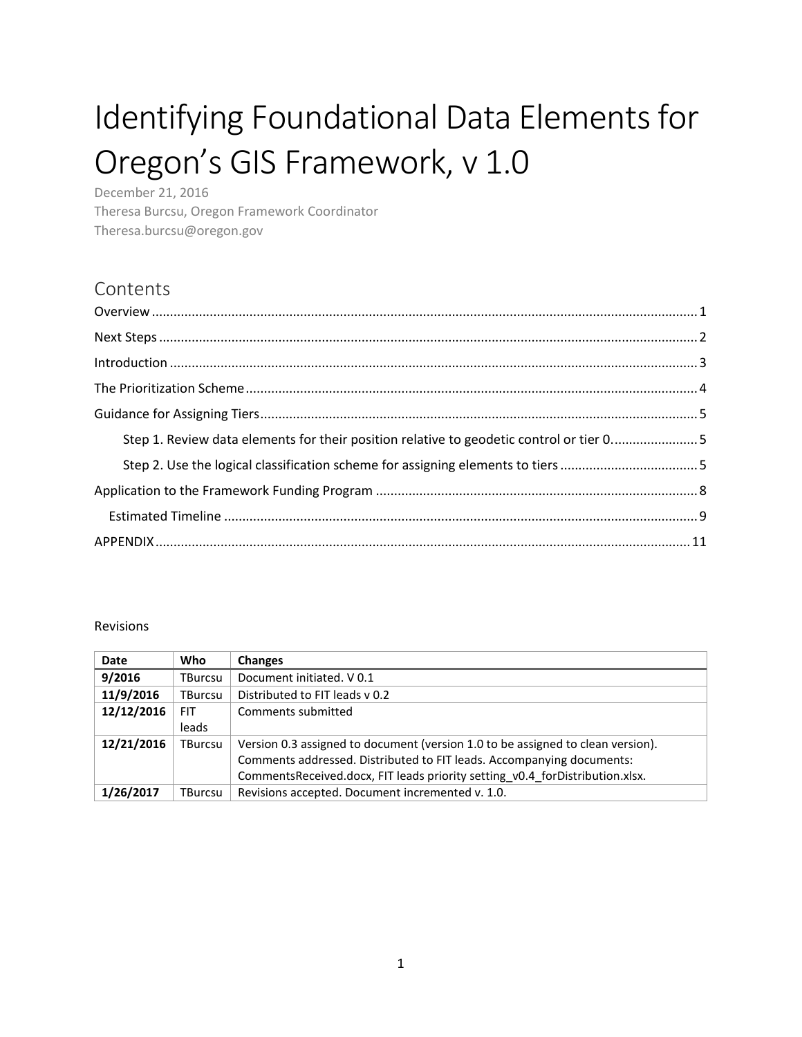# Identifying Foundational Data Elements for Oregon's GIS Framework, v 1.0

December 21, 2016 Theresa Burcsu, Oregon Framework Coordinator Theresa.burcsu@oregon.gov

## Contents

| Step 1. Review data elements for their position relative to geodetic control or tier 05 |
|-----------------------------------------------------------------------------------------|
|                                                                                         |
|                                                                                         |
|                                                                                         |
|                                                                                         |

#### <span id="page-0-0"></span>Revisions

| <b>Date</b> | Who     | <b>Changes</b>                                                                  |
|-------------|---------|---------------------------------------------------------------------------------|
| 9/2016      | TBurcsu | Document initiated. V 0.1                                                       |
| 11/9/2016   | TBurcsu | Distributed to FIT leads v 0.2                                                  |
| 12/12/2016  | FIT     | Comments submitted                                                              |
|             | leads   |                                                                                 |
| 12/21/2016  | TBurcsu | Version 0.3 assigned to document (version 1.0 to be assigned to clean version). |
|             |         | Comments addressed. Distributed to FIT leads. Accompanying documents:           |
|             |         | Comments Received.docx, FIT leads priority setting v0.4 for Distribution.xlsx.  |
| 1/26/2017   | TBurcsu | Revisions accepted. Document incremented v. 1.0.                                |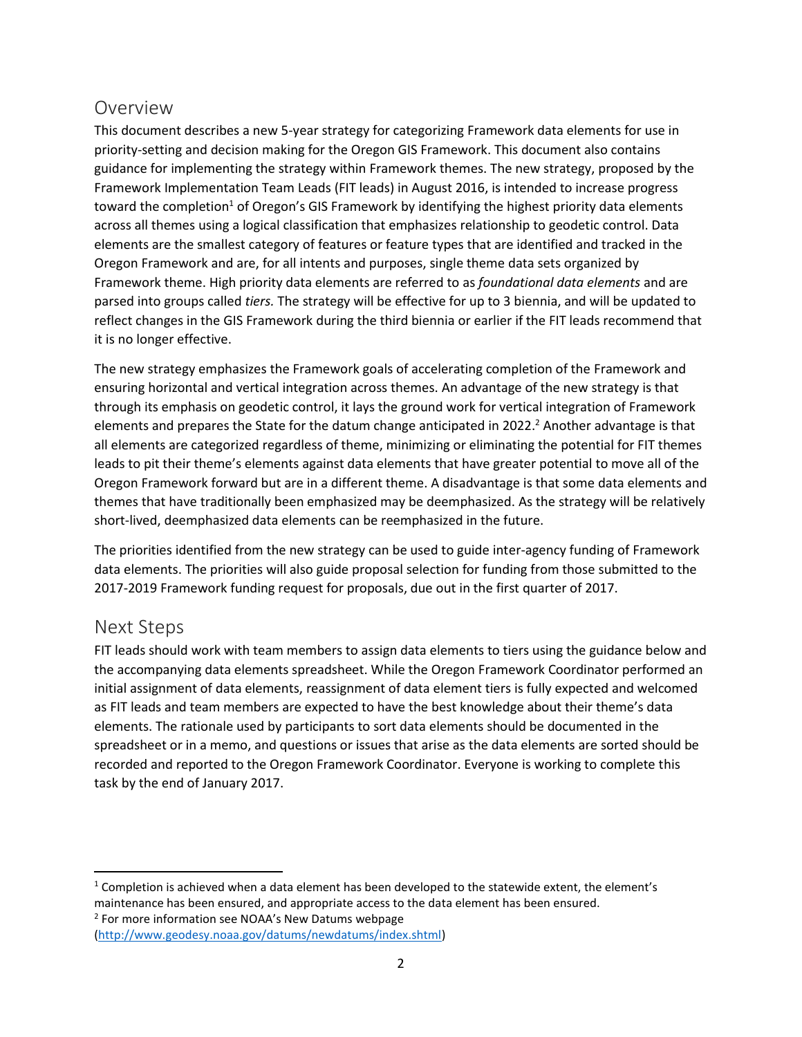## Overview

This document describes a new 5-year strategy for categorizing Framework data elements for use in priority-setting and decision making for the Oregon GIS Framework. This document also contains guidance for implementing the strategy within Framework themes. The new strategy, proposed by the Framework Implementation Team Leads (FIT leads) in August 2016, is intended to increase progress toward the completion<sup>1</sup> of Oregon's GIS Framework by identifying the highest priority data elements across all themes using a logical classification that emphasizes relationship to geodetic control. Data elements are the smallest category of features or feature types that are identified and tracked in the Oregon Framework and are, for all intents and purposes, single theme data sets organized by Framework theme. High priority data elements are referred to as *foundational data elements* and are parsed into groups called *tiers.* The strategy will be effective for up to 3 biennia, and will be updated to reflect changes in the GIS Framework during the third biennia or earlier if the FIT leads recommend that it is no longer effective.

The new strategy emphasizes the Framework goals of accelerating completion of the Framework and ensuring horizontal and vertical integration across themes. An advantage of the new strategy is that through its emphasis on geodetic control, it lays the ground work for vertical integration of Framework elements and prepares the State for the datum change anticipated in 2022.<sup>2</sup> Another advantage is that all elements are categorized regardless of theme, minimizing or eliminating the potential for FIT themes leads to pit their theme's elements against data elements that have greater potential to move all of the Oregon Framework forward but are in a different theme. A disadvantage is that some data elements and themes that have traditionally been emphasized may be deemphasized. As the strategy will be relatively short-lived, deemphasized data elements can be reemphasized in the future.

The priorities identified from the new strategy can be used to guide inter-agency funding of Framework data elements. The priorities will also guide proposal selection for funding from those submitted to the 2017-2019 Framework funding request for proposals, due out in the first quarter of 2017.

#### <span id="page-1-0"></span>Next Steps

<span id="page-1-1"></span> $\overline{a}$ 

FIT leads should work with team members to assign data elements to tiers using the guidance below and the accompanying data elements spreadsheet. While the Oregon Framework Coordinator performed an initial assignment of data elements, reassignment of data element tiers is fully expected and welcomed as FIT leads and team members are expected to have the best knowledge about their theme's data elements. The rationale used by participants to sort data elements should be documented in the spreadsheet or in a memo, and questions or issues that arise as the data elements are sorted should be recorded and reported to the Oregon Framework Coordinator. Everyone is working to complete this task by the end of January 2017.

<sup>2</sup> For more information see NOAA's New Datums webpage [\(http://www.geodesy.noaa.gov/datums/newdatums/index.shtml\)](http://www.geodesy.noaa.gov/datums/newdatums/index.shtml)

<sup>1</sup> Completion is achieved when a data element has been developed to the statewide extent, the element's maintenance has been ensured, and appropriate access to the data element has been ensured.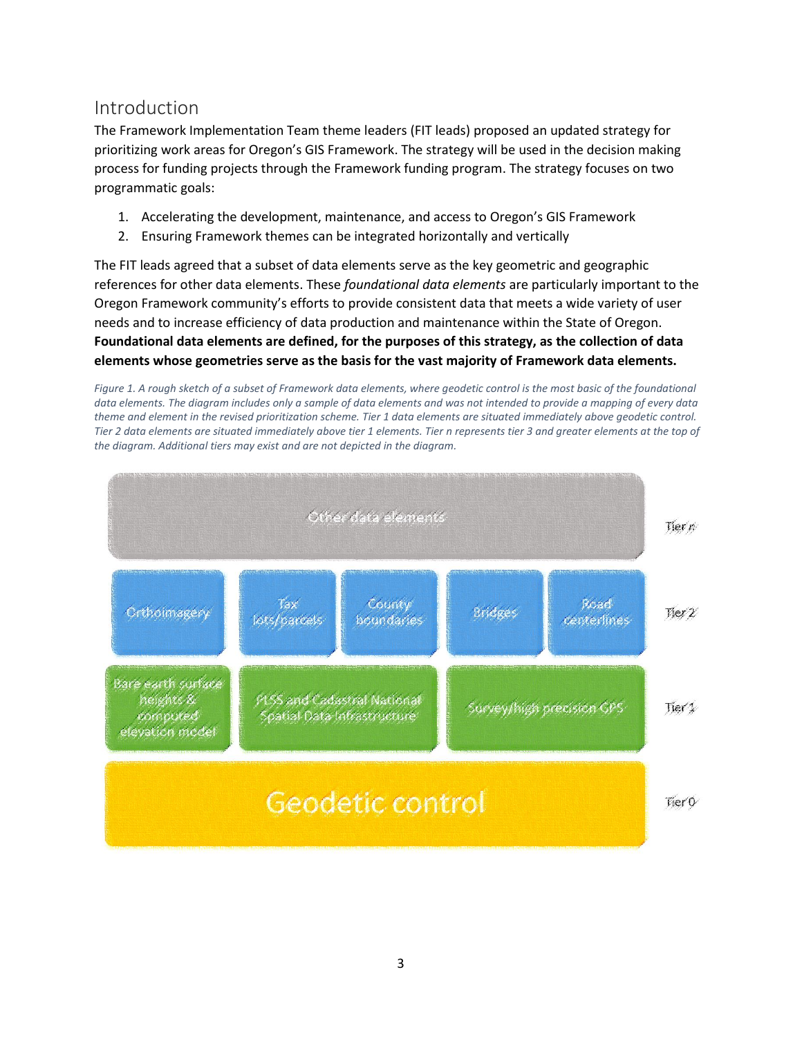## Introduction

The Framework Implementation Team theme leaders (FIT leads) proposed an updated strategy for prioritizing work areas for Oregon's GIS Framework. The strategy will be used in the decision making process for funding projects through the Framework funding program. The strategy focuses on two programmatic goals:

- 1. Accelerating the development, maintenance, and access to Oregon's GIS Framework
- 2. Ensuring Framework themes can be integrated horizontally and vertically

The FIT leads agreed that a subset of data elements serve as the key geometric and geographic references for other data elements. These *foundational data elements* are particularly important to the Oregon Framework community's efforts to provide consistent data that meets a wide variety of user needs and to increase efficiency of data production and maintenance within the State of Oregon. **Foundational data elements are defined, for the purposes of this strategy, as the collection of data elements whose geometries serve as the basis for the vast majority of Framework data elements.**

*Figure 1. A rough sketch of a subset of Framework data elements, where geodetic control is the most basic of the foundational data elements. The diagram includes only a sample of data elements and was not intended to provide a mapping of every data theme and element in the revised prioritization scheme. Tier 1 data elements are situated immediately above geodetic control. Tier 2 data elements are situated immediately above tier 1 elements. Tier n represents tier 3 and greater elements at the top of the diagram. Additional tiers may exist and are not depicted in the diagram.*

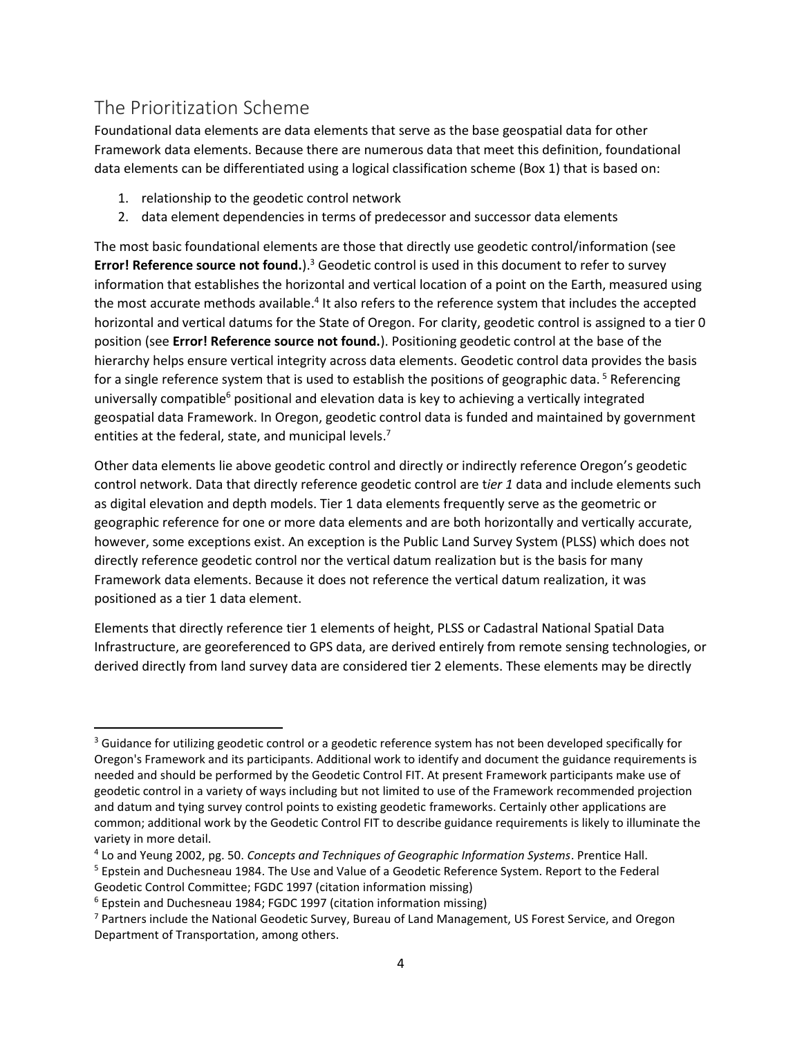# <span id="page-3-0"></span>The Prioritization Scheme

 $\overline{a}$ 

Foundational data elements are data elements that serve as the base geospatial data for other Framework data elements. Because there are numerous data that meet this definition, foundational data elements can be differentiated using a logical classification scheme [\(Box 1\)](#page-5-0) that is based on:

- 1. relationship to the geodetic control network
- 2. data element dependencies in terms of predecessor and successor data elements

The most basic foundational elements are those that directly use geodetic control/information (see **Error! Reference source not found.**). <sup>3</sup> Geodetic control is used in this document to refer to survey information that establishes the horizontal and vertical location of a point on the Earth, measured using the most accurate methods available.<sup>4</sup> It also refers to the reference system that includes the accepted horizontal and vertical datums for the State of Oregon. For clarity, geodetic control is assigned to a tier 0 position (see **Error! Reference source not found.**). Positioning geodetic control at the base of the hierarchy helps ensure vertical integrity across data elements. Geodetic control data provides the basis for a single reference system that is used to establish the positions of geographic data.<sup>5</sup> Referencing universally compatible<sup>6</sup> positional and elevation data is key to achieving a vertically integrated geospatial data Framework. In Oregon, geodetic control data is funded and maintained by government entities at the federal, state, and municipal levels.<sup>7</sup>

Other data elements lie above geodetic control and directly or indirectly reference Oregon's geodetic control network. Data that directly reference geodetic control are t*ier 1* data and include elements such as digital elevation and depth models. Tier 1 data elements frequently serve as the geometric or geographic reference for one or more data elements and are both horizontally and vertically accurate, however, some exceptions exist. An exception is the Public Land Survey System (PLSS) which does not directly reference geodetic control nor the vertical datum realization but is the basis for many Framework data elements. Because it does not reference the vertical datum realization, it was positioned as a tier 1 data element.

Elements that directly reference tier 1 elements of height, PLSS or Cadastral National Spatial Data Infrastructure, are georeferenced to GPS data, are derived entirely from remote sensing technologies, or derived directly from land survey data are considered tier 2 elements. These elements may be directly

<sup>&</sup>lt;sup>3</sup> Guidance for utilizing geodetic control or a geodetic reference system has not been developed specifically for Oregon's Framework and its participants. Additional work to identify and document the guidance requirements is needed and should be performed by the Geodetic Control FIT. At present Framework participants make use of geodetic control in a variety of ways including but not limited to use of the Framework recommended projection and datum and tying survey control points to existing geodetic frameworks. Certainly other applications are common; additional work by the Geodetic Control FIT to describe guidance requirements is likely to illuminate the variety in more detail.

<sup>4</sup> Lo and Yeung 2002, pg. 50. *Concepts and Techniques of Geographic Information Systems*. Prentice Hall.

<sup>5</sup> Epstein and Duchesneau 1984. The Use and Value of a Geodetic Reference System. Report to the Federal Geodetic Control Committee; FGDC 1997 (citation information missing)

<sup>6</sup> Epstein and Duchesneau 1984; FGDC 1997 (citation information missing)

<sup>7</sup> Partners include the National Geodetic Survey, Bureau of Land Management, US Forest Service, and Oregon Department of Transportation, among others.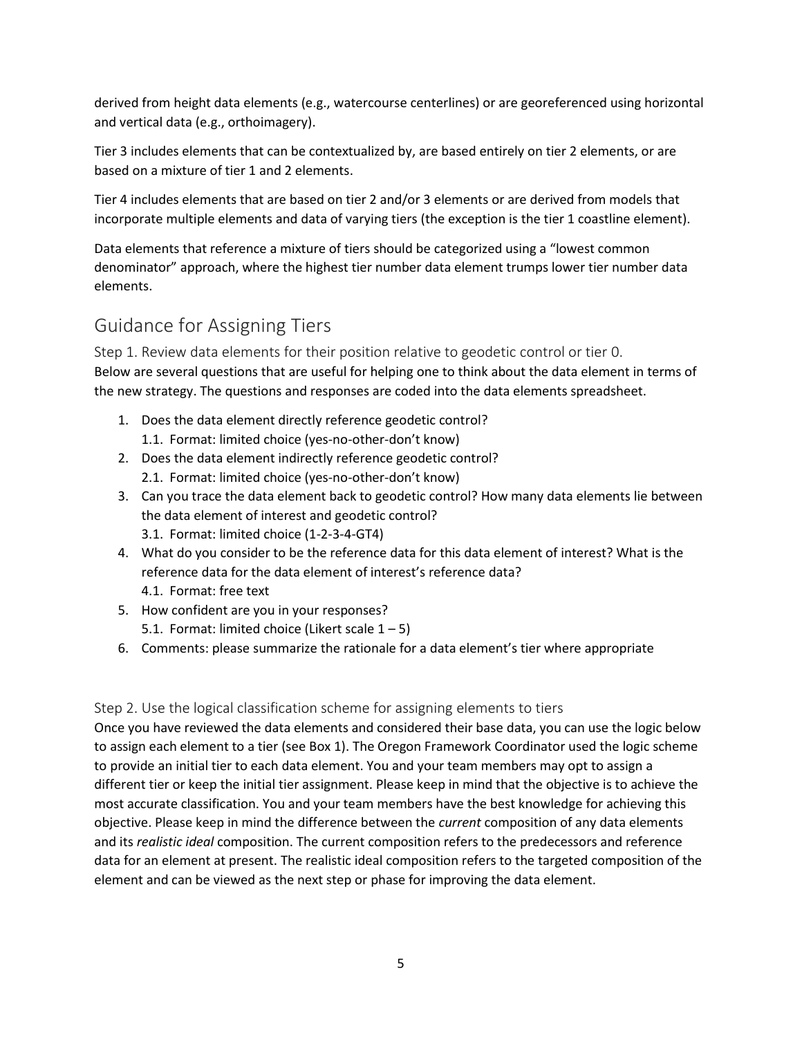derived from height data elements (e.g., watercourse centerlines) or are georeferenced using horizontal and vertical data (e.g., orthoimagery).

Tier 3 includes elements that can be contextualized by, are based entirely on tier 2 elements, or are based on a mixture of tier 1 and 2 elements.

Tier 4 includes elements that are based on tier 2 and/or 3 elements or are derived from models that incorporate multiple elements and data of varying tiers (the exception is the tier 1 coastline element).

Data elements that reference a mixture of tiers should be categorized using a "lowest common denominator" approach, where the highest tier number data element trumps lower tier number data elements.

# <span id="page-4-0"></span>Guidance for Assigning Tiers

<span id="page-4-1"></span>Step 1. Review data elements for their position relative to geodetic control or tier 0. Below are several questions that are useful for helping one to think about the data element in terms of the new strategy. The questions and responses are coded into the data elements spreadsheet.

- 1. Does the data element directly reference geodetic control? 1.1. Format: limited choice (yes-no-other-don't know)
- 2. Does the data element indirectly reference geodetic control? 2.1. Format: limited choice (yes-no-other-don't know)
- 3. Can you trace the data element back to geodetic control? How many data elements lie between the data element of interest and geodetic control? 3.1. Format: limited choice (1-2-3-4-GT4)
- 4. What do you consider to be the reference data for this data element of interest? What is the reference data for the data element of interest's reference data?
	- 4.1. Format: free text
- 5. How confident are you in your responses?
	- 5.1. Format: limited choice (Likert scale  $1 5$ )
- 6. Comments: please summarize the rationale for a data element's tier where appropriate

#### <span id="page-4-2"></span>Step 2. Use the logical classification scheme for assigning elements to tiers

Once you have reviewed the data elements and considered their base data, you can use the logic below to assign each element to a tier (see [Box 1\)](#page-5-0). The Oregon Framework Coordinator used the logic scheme to provide an initial tier to each data element. You and your team members may opt to assign a different tier or keep the initial tier assignment. Please keep in mind that the objective is to achieve the most accurate classification. You and your team members have the best knowledge for achieving this objective. Please keep in mind the difference between the *current* composition of any data elements and its *realistic ideal* composition. The current composition refers to the predecessors and reference data for an element at present. The realistic ideal composition refers to the targeted composition of the element and can be viewed as the next step or phase for improving the data element.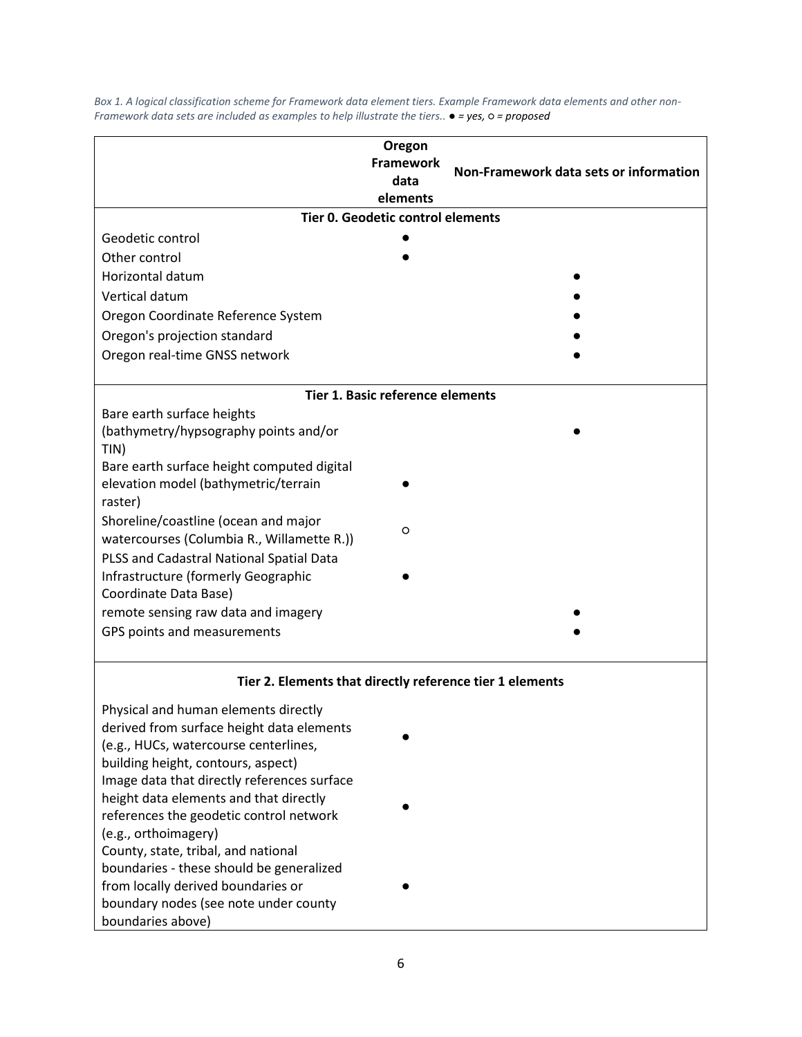|                                                                                       | Oregon<br><b>Framework</b><br>data<br>elements | Non-Framework data sets or information |  |  |  |  |  |  |
|---------------------------------------------------------------------------------------|------------------------------------------------|----------------------------------------|--|--|--|--|--|--|
| Tier 0. Geodetic control elements                                                     |                                                |                                        |  |  |  |  |  |  |
| Geodetic control                                                                      |                                                |                                        |  |  |  |  |  |  |
| Other control                                                                         |                                                |                                        |  |  |  |  |  |  |
| Horizontal datum                                                                      |                                                |                                        |  |  |  |  |  |  |
| Vertical datum                                                                        |                                                |                                        |  |  |  |  |  |  |
| Oregon Coordinate Reference System                                                    |                                                |                                        |  |  |  |  |  |  |
| Oregon's projection standard                                                          |                                                |                                        |  |  |  |  |  |  |
| Oregon real-time GNSS network                                                         |                                                |                                        |  |  |  |  |  |  |
|                                                                                       | Tier 1. Basic reference elements               |                                        |  |  |  |  |  |  |
| Bare earth surface heights                                                            |                                                |                                        |  |  |  |  |  |  |
| (bathymetry/hypsography points and/or                                                 |                                                |                                        |  |  |  |  |  |  |
| TIN)                                                                                  |                                                |                                        |  |  |  |  |  |  |
| Bare earth surface height computed digital<br>elevation model (bathymetric/terrain    |                                                |                                        |  |  |  |  |  |  |
| raster)                                                                               |                                                |                                        |  |  |  |  |  |  |
| Shoreline/coastline (ocean and major                                                  |                                                |                                        |  |  |  |  |  |  |
| watercourses (Columbia R., Willamette R.))                                            | O                                              |                                        |  |  |  |  |  |  |
| PLSS and Cadastral National Spatial Data                                              |                                                |                                        |  |  |  |  |  |  |
| Infrastructure (formerly Geographic                                                   |                                                |                                        |  |  |  |  |  |  |
| Coordinate Data Base)                                                                 |                                                |                                        |  |  |  |  |  |  |
| remote sensing raw data and imagery                                                   |                                                |                                        |  |  |  |  |  |  |
| GPS points and measurements                                                           |                                                |                                        |  |  |  |  |  |  |
| Tier 2. Elements that directly reference tier 1 elements                              |                                                |                                        |  |  |  |  |  |  |
| Physical and human elements directly                                                  |                                                |                                        |  |  |  |  |  |  |
| derived from surface height data elements                                             |                                                |                                        |  |  |  |  |  |  |
| (e.g., HUCs, watercourse centerlines,                                                 |                                                |                                        |  |  |  |  |  |  |
| building height, contours, aspect)                                                    |                                                |                                        |  |  |  |  |  |  |
| Image data that directly references surface<br>height data elements and that directly |                                                |                                        |  |  |  |  |  |  |
| references the geodetic control network                                               |                                                |                                        |  |  |  |  |  |  |
| (e.g., orthoimagery)                                                                  |                                                |                                        |  |  |  |  |  |  |
| County, state, tribal, and national                                                   |                                                |                                        |  |  |  |  |  |  |
| boundaries - these should be generalized                                              |                                                |                                        |  |  |  |  |  |  |
| from locally derived boundaries or                                                    |                                                |                                        |  |  |  |  |  |  |
| boundary nodes (see note under county                                                 |                                                |                                        |  |  |  |  |  |  |
| boundaries above)                                                                     |                                                |                                        |  |  |  |  |  |  |

<span id="page-5-0"></span>*Box 1. A logical classification scheme for Framework data element tiers. Example Framework data elements and other non-Framework data sets are included as examples to help illustrate the tiers.. ● = yes, ○ = proposed*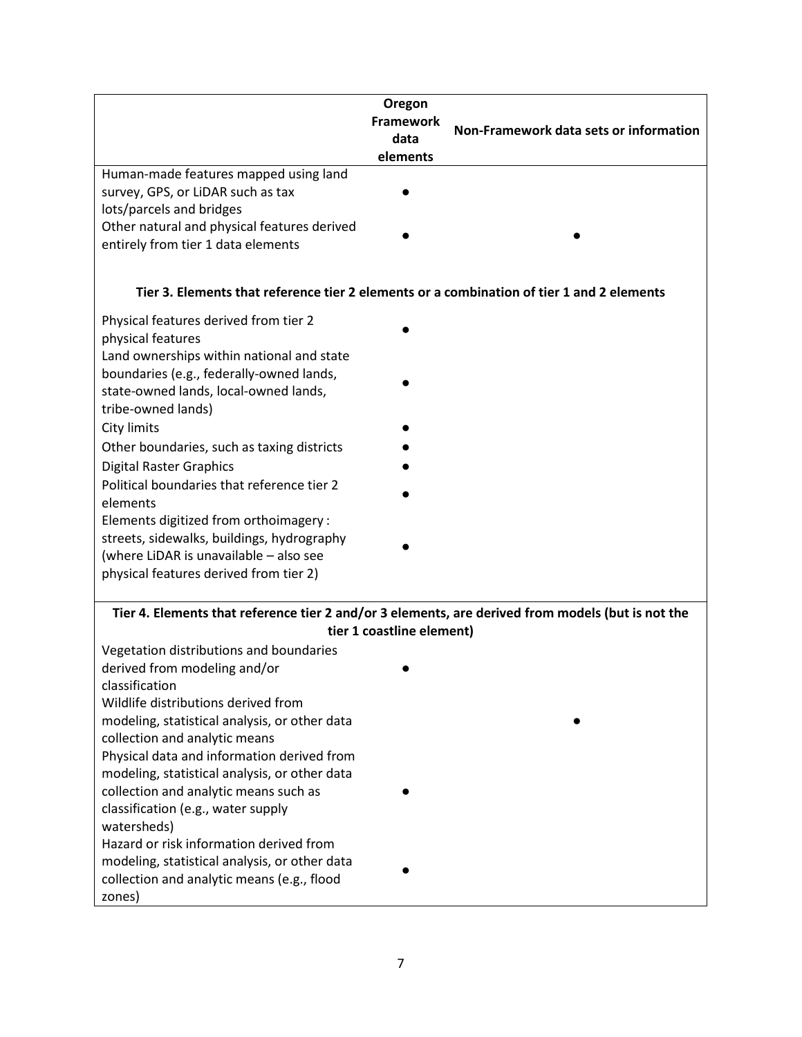| Human-made features mapped using land<br>survey, GPS, or LiDAR such as tax                                    | Oregon<br>Framework<br>data<br>elements | Non-Framework data sets or information |
|---------------------------------------------------------------------------------------------------------------|-----------------------------------------|----------------------------------------|
| lots/parcels and bridges<br>Other natural and physical features derived<br>entirely from tier 1 data elements |                                         |                                        |
| Tier 3. Elements that reference tier 2 elements or a combination of tier 1 and 2 elements                     |                                         |                                        |
| Physical features derived from tier 2<br>physical features<br>Land ownerships within national and state       |                                         |                                        |
| boundaries (e.g., federally-owned lands,<br>state-owned lands, local-owned lands,<br>tribe-owned lands)       |                                         |                                        |
| City limits<br>Other boundaries, such as taxing districts                                                     |                                         |                                        |
| <b>Digital Raster Graphics</b>                                                                                |                                         |                                        |
| Political boundaries that reference tier 2<br>elements                                                        |                                         |                                        |
| Elements digitized from orthoimagery :                                                                        |                                         |                                        |
| streets, sidewalks, buildings, hydrography<br>(where LiDAR is unavailable - also see                          |                                         |                                        |
| physical features derived from tier 2)                                                                        |                                         |                                        |
| Tier 4. Elements that reference tier 2 and/or 3 elements, are derived from models (but is not the             | tier 1 coastline element)               |                                        |
| Vegetation distributions and boundaries                                                                       |                                         |                                        |
| derived from modeling and/or<br>classification                                                                |                                         |                                        |
| Wildlife distributions derived from                                                                           |                                         |                                        |
| modeling, statistical analysis, or other data                                                                 |                                         |                                        |
| collection and analytic means                                                                                 |                                         |                                        |
| Physical data and information derived from<br>modeling, statistical analysis, or other data                   |                                         |                                        |
| collection and analytic means such as                                                                         |                                         |                                        |
| classification (e.g., water supply                                                                            |                                         |                                        |
| watersheds)<br>Hazard or risk information derived from                                                        |                                         |                                        |
| modeling, statistical analysis, or other data                                                                 |                                         |                                        |
| collection and analytic means (e.g., flood                                                                    |                                         |                                        |
| zones)                                                                                                        |                                         |                                        |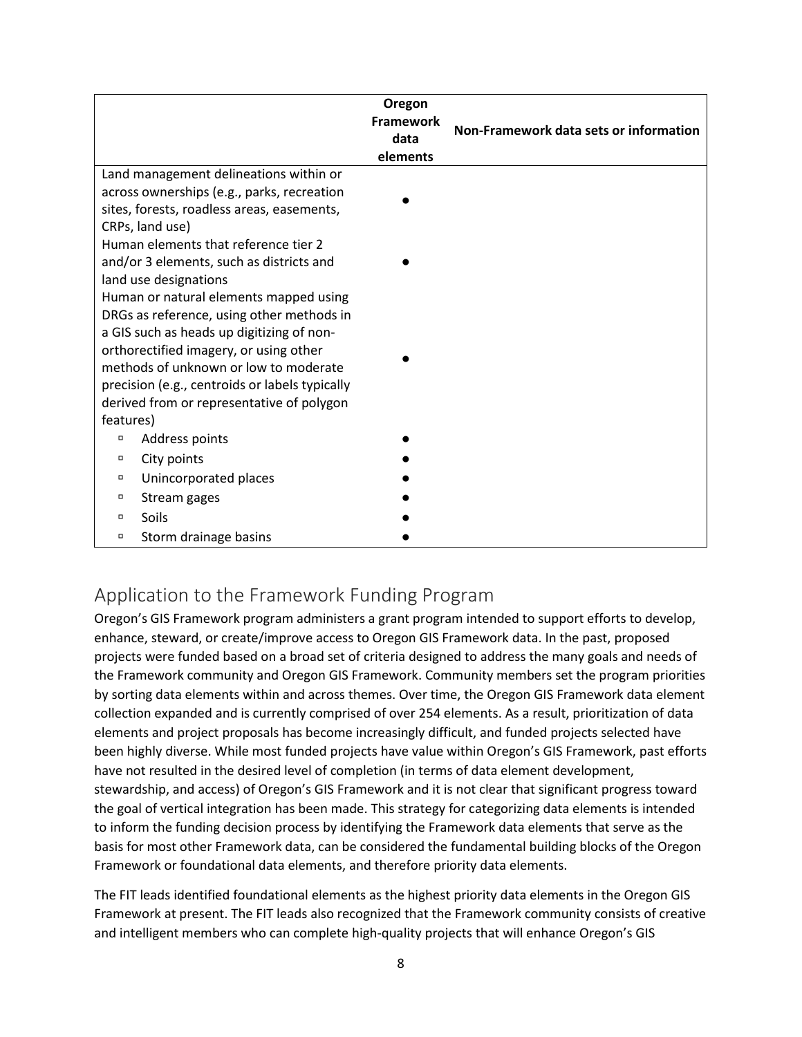|                                                | Oregon           |                                        |  |  |  |  |
|------------------------------------------------|------------------|----------------------------------------|--|--|--|--|
|                                                | <b>Framework</b> | Non-Framework data sets or information |  |  |  |  |
|                                                | data             |                                        |  |  |  |  |
|                                                | elements         |                                        |  |  |  |  |
| Land management delineations within or         |                  |                                        |  |  |  |  |
| across ownerships (e.g., parks, recreation     |                  |                                        |  |  |  |  |
| sites, forests, roadless areas, easements,     |                  |                                        |  |  |  |  |
| CRPs, land use)                                |                  |                                        |  |  |  |  |
| Human elements that reference tier 2           |                  |                                        |  |  |  |  |
| and/or 3 elements, such as districts and       |                  |                                        |  |  |  |  |
| land use designations                          |                  |                                        |  |  |  |  |
| Human or natural elements mapped using         |                  |                                        |  |  |  |  |
| DRGs as reference, using other methods in      |                  |                                        |  |  |  |  |
| a GIS such as heads up digitizing of non-      |                  |                                        |  |  |  |  |
| orthorectified imagery, or using other         |                  |                                        |  |  |  |  |
| methods of unknown or low to moderate          |                  |                                        |  |  |  |  |
| precision (e.g., centroids or labels typically |                  |                                        |  |  |  |  |
| derived from or representative of polygon      |                  |                                        |  |  |  |  |
| features)                                      |                  |                                        |  |  |  |  |
| Address points<br>α                            |                  |                                        |  |  |  |  |
| City points<br>п                               |                  |                                        |  |  |  |  |
| Unincorporated places<br>α                     |                  |                                        |  |  |  |  |
| Stream gages<br>α                              |                  |                                        |  |  |  |  |
| Soils<br>$\Box$                                |                  |                                        |  |  |  |  |
| Storm drainage basins<br>α                     |                  |                                        |  |  |  |  |

## <span id="page-7-0"></span>Application to the Framework Funding Program

Oregon's GIS Framework program administers a grant program intended to support efforts to develop, enhance, steward, or create/improve access to Oregon GIS Framework data. In the past, proposed projects were funded based on a broad set of criteria designed to address the many goals and needs of the Framework community and Oregon GIS Framework. Community members set the program priorities by sorting data elements within and across themes. Over time, the Oregon GIS Framework data element collection expanded and is currently comprised of over 254 elements. As a result, prioritization of data elements and project proposals has become increasingly difficult, and funded projects selected have been highly diverse. While most funded projects have value within Oregon's GIS Framework, past efforts have not resulted in the desired level of completion (in terms of data element development, stewardship, and access) of Oregon's GIS Framework and it is not clear that significant progress toward the goal of vertical integration has been made. This strategy for categorizing data elements is intended to inform the funding decision process by identifying the Framework data elements that serve as the basis for most other Framework data, can be considered the fundamental building blocks of the Oregon Framework or foundational data elements, and therefore priority data elements.

The FIT leads identified foundational elements as the highest priority data elements in the Oregon GIS Framework at present. The FIT leads also recognized that the Framework community consists of creative and intelligent members who can complete high-quality projects that will enhance Oregon's GIS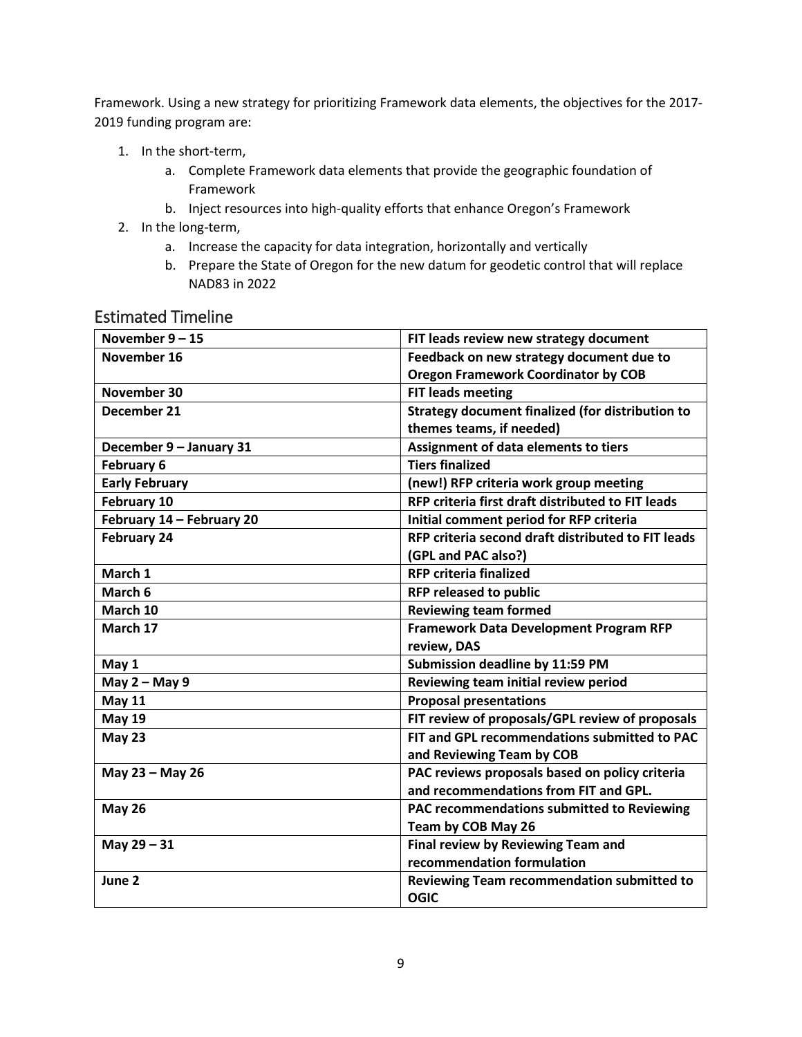Framework. Using a new strategy for prioritizing Framework data elements, the objectives for the 2017- 2019 funding program are:

- 1. In the short-term,
	- a. Complete Framework data elements that provide the geographic foundation of Framework
	- b. Inject resources into high-quality efforts that enhance Oregon's Framework
- 2. In the long-term,
	- a. Increase the capacity for data integration, horizontally and vertically
	- b. Prepare the State of Oregon for the new datum for geodetic control that will replace NAD83 in 2022

| November $9 - 15$         | FIT leads review new strategy document             |
|---------------------------|----------------------------------------------------|
| November 16               | Feedback on new strategy document due to           |
|                           | <b>Oregon Framework Coordinator by COB</b>         |
| November 30               | <b>FIT leads meeting</b>                           |
| December 21               | Strategy document finalized (for distribution to   |
|                           | themes teams, if needed)                           |
| December 9 - January 31   | Assignment of data elements to tiers               |
| February 6                | <b>Tiers finalized</b>                             |
| <b>Early February</b>     | (new!) RFP criteria work group meeting             |
| February 10               | RFP criteria first draft distributed to FIT leads  |
| February 14 - February 20 | Initial comment period for RFP criteria            |
| <b>February 24</b>        | RFP criteria second draft distributed to FIT leads |
|                           | (GPL and PAC also?)                                |
| March 1                   | <b>RFP criteria finalized</b>                      |
| March 6                   | <b>RFP released to public</b>                      |
| March 10                  | <b>Reviewing team formed</b>                       |
| March 17                  | <b>Framework Data Development Program RFP</b>      |
|                           | review, DAS                                        |
| May 1                     | Submission deadline by 11:59 PM                    |
| May 2 - May 9             | Reviewing team initial review period               |
| <b>May 11</b>             | <b>Proposal presentations</b>                      |
| <b>May 19</b>             | FIT review of proposals/GPL review of proposals    |
| <b>May 23</b>             | FIT and GPL recommendations submitted to PAC       |
|                           | and Reviewing Team by COB                          |
| May 23 - May 26           | PAC reviews proposals based on policy criteria     |
|                           | and recommendations from FIT and GPL.              |
| <b>May 26</b>             | PAC recommendations submitted to Reviewing         |
|                           | Team by COB May 26                                 |
| May 29 - 31               | Final review by Reviewing Team and                 |
|                           | recommendation formulation                         |
| June 2                    | Reviewing Team recommendation submitted to         |
|                           | <b>OGIC</b>                                        |
|                           |                                                    |

#### <span id="page-8-0"></span>Estimated Timeline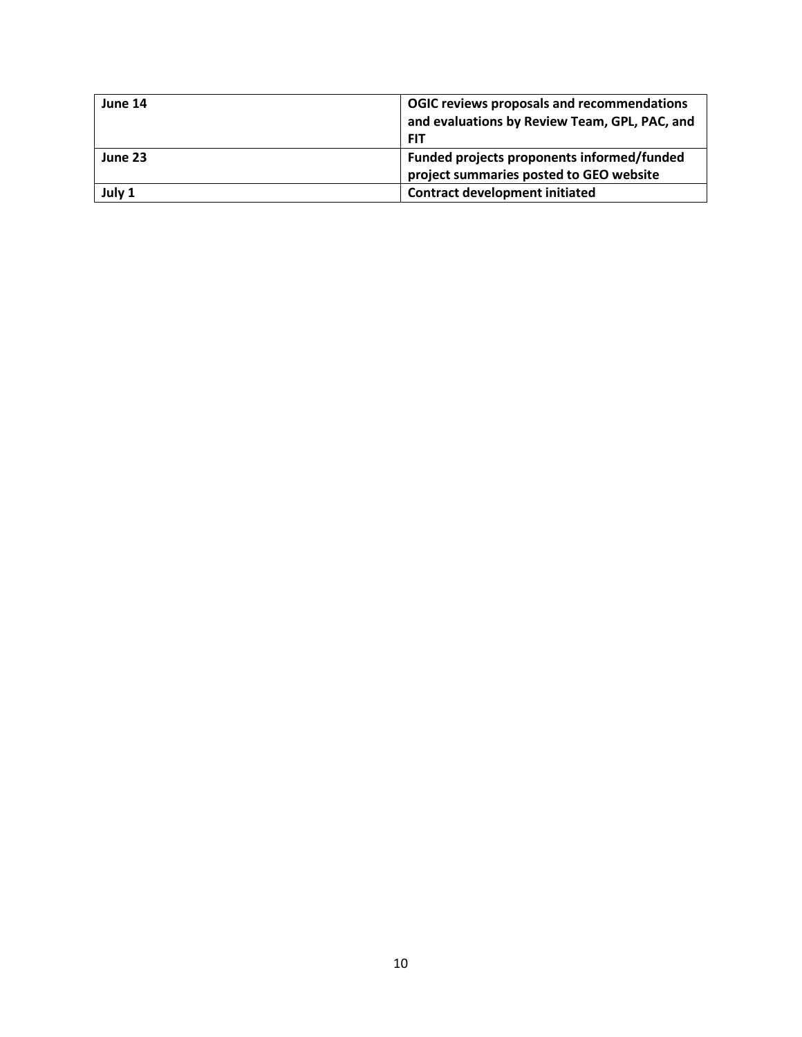| June 14 | OGIC reviews proposals and recommendations<br>and evaluations by Review Team, GPL, PAC, and<br><b>FIT</b> |
|---------|-----------------------------------------------------------------------------------------------------------|
| June 23 | Funded projects proponents informed/funded<br>project summaries posted to GEO website                     |
| July 1  | <b>Contract development initiated</b>                                                                     |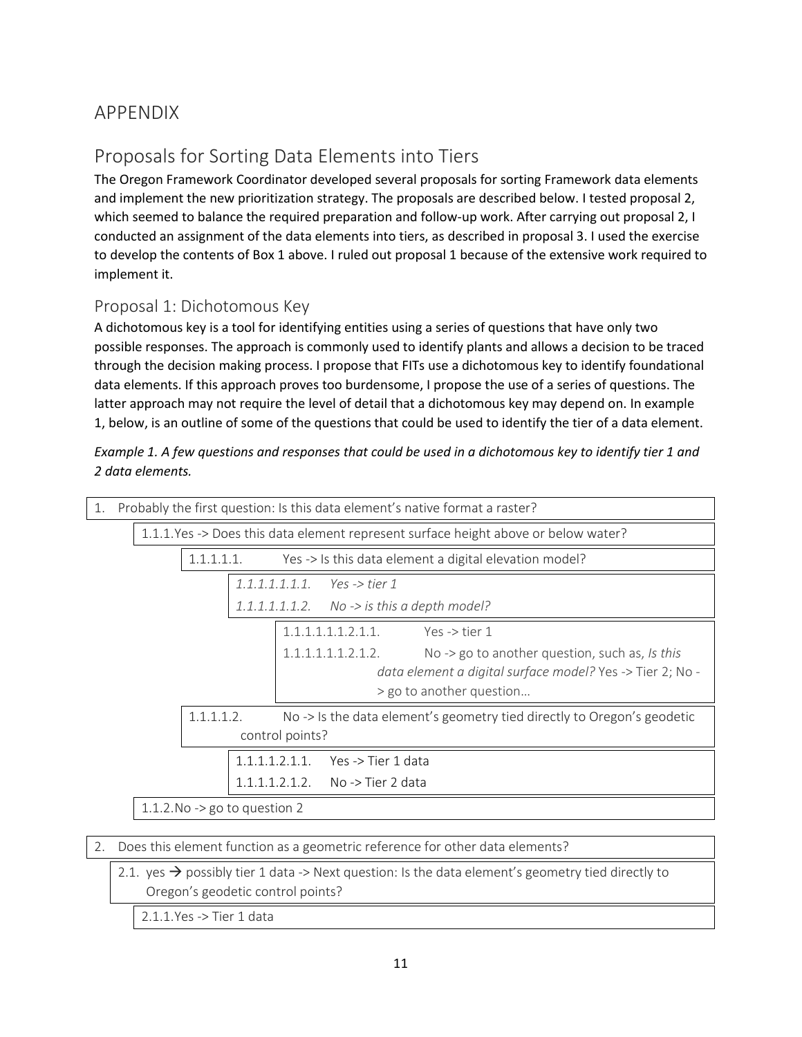# <span id="page-10-0"></span>APPENDIX

# Proposals for Sorting Data Elements into Tiers

The Oregon Framework Coordinator developed several proposals for sorting Framework data elements and implement the new prioritization strategy. The proposals are described below. I tested proposal 2, which seemed to balance the required preparation and follow-up work. After carrying out proposal 2, I conducted an assignment of the data elements into tiers, as described in proposal 3. I used the exercise to develop the contents of Box 1 above. I ruled out proposal 1 because of the extensive work required to implement it.

#### Proposal 1: Dichotomous Key

A dichotomous key is a tool for identifying entities using a series of questions that have only two possible responses. The approach is commonly used to identify plants and allows a decision to be traced through the decision making process. I propose that FITs use a dichotomous key to identify foundational data elements. If this approach proves too burdensome, I propose the use of a series of questions. The latter approach may not require the level of detail that a dichotomous key may depend on. In example 1, below, is an outline of some of the questions that could be used to identify the tier of a data element.

| Example 1. A few questions and responses that could be used in a dichotomous key to identify tier 1 and |  |
|---------------------------------------------------------------------------------------------------------|--|
| 2 data elements.                                                                                        |  |

| 1. | Probably the first question: Is this data element's native format a raster? |  |                                                                                     |  |                 |                               |                                                                                       |  |
|----|-----------------------------------------------------------------------------|--|-------------------------------------------------------------------------------------|--|-----------------|-------------------------------|---------------------------------------------------------------------------------------|--|
|    |                                                                             |  | 1.1.1. Yes -> Does this data element represent surface height above or below water? |  |                 |                               |                                                                                       |  |
|    |                                                                             |  | 1.1.1.1.1.                                                                          |  |                 |                               | Yes -> Is this data element a digital elevation model?                                |  |
|    |                                                                             |  |                                                                                     |  |                 | $1.1.1.1.1.1.1$ Yes -> tier 1 |                                                                                       |  |
|    |                                                                             |  |                                                                                     |  | 1.1.1.1.1.1.2.  |                               | No -> is this a depth model?                                                          |  |
|    |                                                                             |  |                                                                                     |  |                 | 1.1.1.1.1.1.2.1.1.            | Yes -> tier $1$                                                                       |  |
|    |                                                                             |  |                                                                                     |  |                 | 1.1.1.1.1.1.2.1.2.            | No $\rightarrow$ go to another question, such as, Is this                             |  |
|    |                                                                             |  |                                                                                     |  |                 |                               | data element a digital surface model? Yes -> Tier 2; No -<br>> go to another question |  |
|    |                                                                             |  | 1.1.1.1.2.                                                                          |  |                 |                               | No -> Is the data element's geometry tied directly to Oregon's geodetic               |  |
|    |                                                                             |  |                                                                                     |  | control points? |                               |                                                                                       |  |
|    | Yes -> Tier 1 data<br>$1.1.1.1.2.1.1$ .                                     |  |                                                                                     |  |                 |                               |                                                                                       |  |
|    | No -> Tier 2 data<br>1111212                                                |  |                                                                                     |  |                 |                               |                                                                                       |  |
|    | 1.1.2. No $\rightarrow$ go to question 2                                    |  |                                                                                     |  |                 |                               |                                                                                       |  |
|    |                                                                             |  |                                                                                     |  |                 |                               |                                                                                       |  |

|  |  | 2. Does this element function as a geometric reference for other data elements? |  |  |  |  |
|--|--|---------------------------------------------------------------------------------|--|--|--|--|
|--|--|---------------------------------------------------------------------------------|--|--|--|--|

2.1. yes  $\rightarrow$  possibly tier 1 data -> Next question: Is the data element's geometry tied directly to Oregon's geodetic control points?

2.1.1.Yes -> Tier 1 data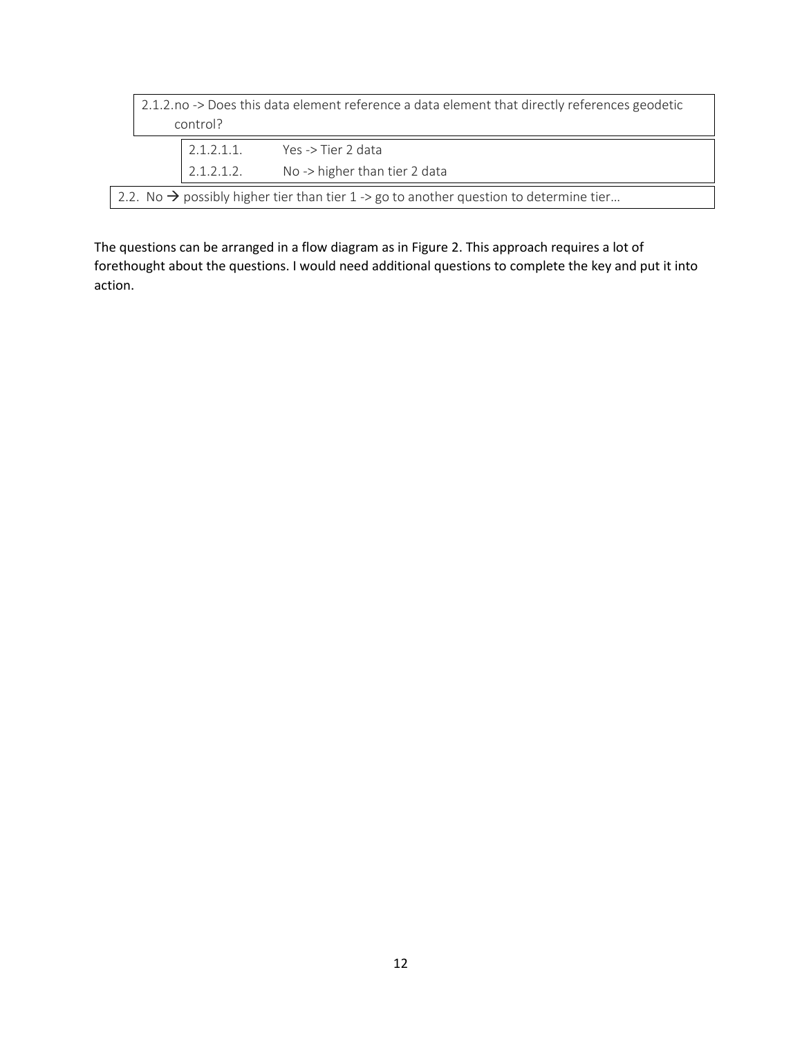| 2.1.2.no -> Does this data element reference a data element that directly references geodetic<br>control? |  |  |  |  |  |
|-----------------------------------------------------------------------------------------------------------|--|--|--|--|--|
| $2.1.2.1.1$ .<br>Yes -> Tier 2 data                                                                       |  |  |  |  |  |
| No -> higher than tier 2 data<br>2.1.2.1.2.                                                               |  |  |  |  |  |
| 2.2. No $\rightarrow$ possibly higher tier than tier 1 -> go to another question to determine tier        |  |  |  |  |  |

The questions can be arranged in a flow diagram as i[n Figure 2.](#page-12-0) This approach requires a lot of forethought about the questions. I would need additional questions to complete the key and put it into action.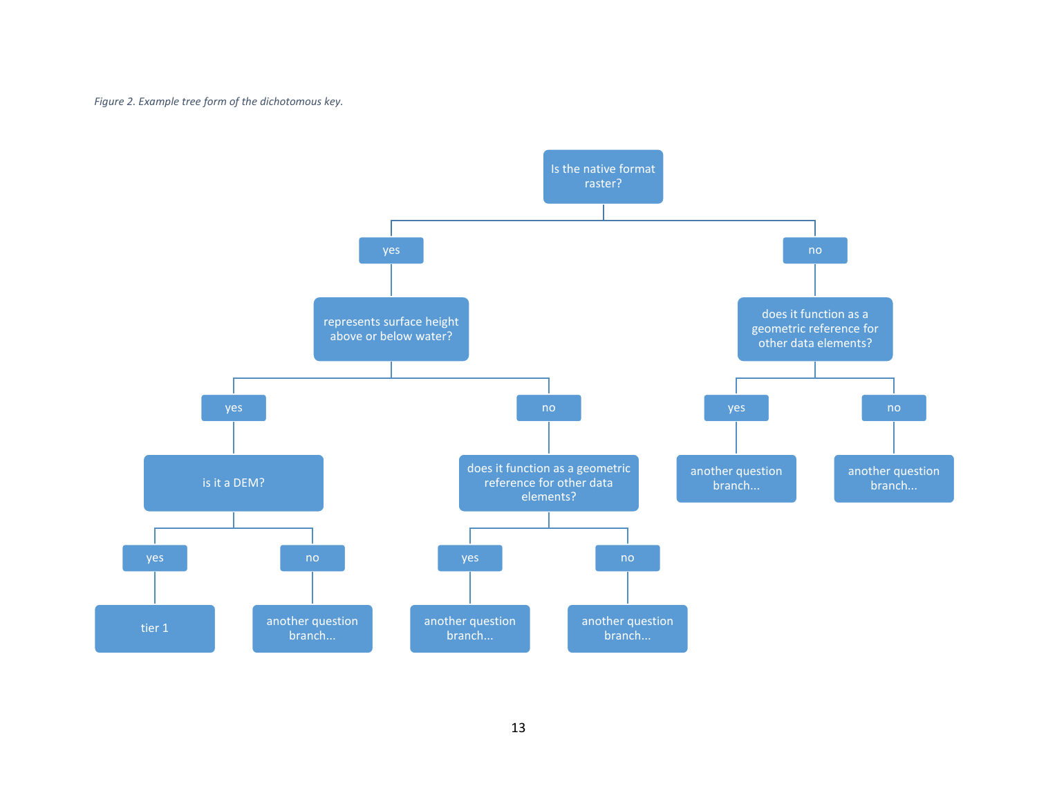*Figure 2. Example tree form of the dichotomous key.*

<span id="page-12-0"></span>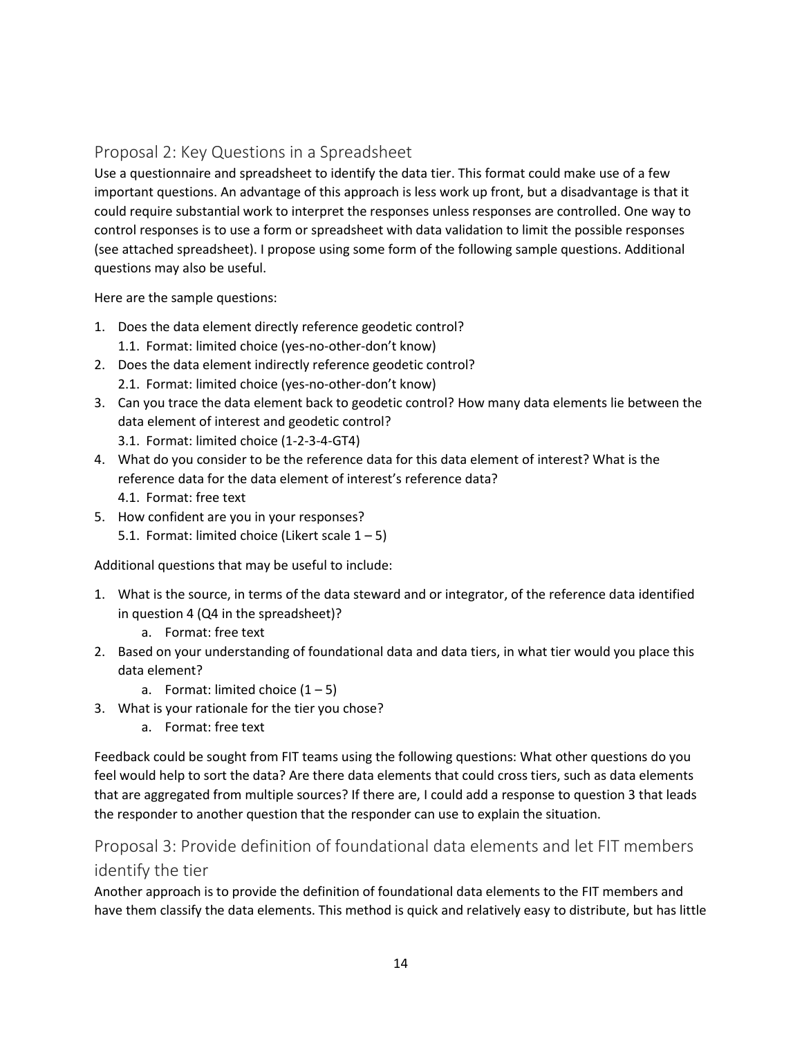#### Proposal 2: Key Questions in a Spreadsheet

Use a questionnaire and spreadsheet to identify the data tier. This format could make use of a few important questions. An advantage of this approach is less work up front, but a disadvantage is that it could require substantial work to interpret the responses unless responses are controlled. One way to control responses is to use a form or spreadsheet with data validation to limit the possible responses (see attached spreadsheet). I propose using some form of the following sample questions. Additional questions may also be useful.

Here are the sample questions:

- 1. Does the data element directly reference geodetic control? 1.1. Format: limited choice (yes-no-other-don't know)
- 2. Does the data element indirectly reference geodetic control? 2.1. Format: limited choice (yes-no-other-don't know)
- 3. Can you trace the data element back to geodetic control? How many data elements lie between the data element of interest and geodetic control?
	- 3.1. Format: limited choice (1-2-3-4-GT4)
- 4. What do you consider to be the reference data for this data element of interest? What is the reference data for the data element of interest's reference data?
	- 4.1. Format: free text
- 5. How confident are you in your responses? 5.1. Format: limited choice (Likert scale  $1 - 5$ )

Additional questions that may be useful to include:

- 1. What is the source, in terms of the data steward and or integrator, of the reference data identified in question 4 (Q4 in the spreadsheet)?
	- a. Format: free text
- 2. Based on your understanding of foundational data and data tiers, in what tier would you place this data element?
	- a. Format: limited choice  $(1 5)$
- 3. What is your rationale for the tier you chose?
	- a. Format: free text

Feedback could be sought from FIT teams using the following questions: What other questions do you feel would help to sort the data? Are there data elements that could cross tiers, such as data elements that are aggregated from multiple sources? If there are, I could add a response to question 3 that leads the responder to another question that the responder can use to explain the situation.

### Proposal 3: Provide definition of foundational data elements and let FIT members identify the tier

Another approach is to provide the definition of foundational data elements to the FIT members and have them classify the data elements. This method is quick and relatively easy to distribute, but has little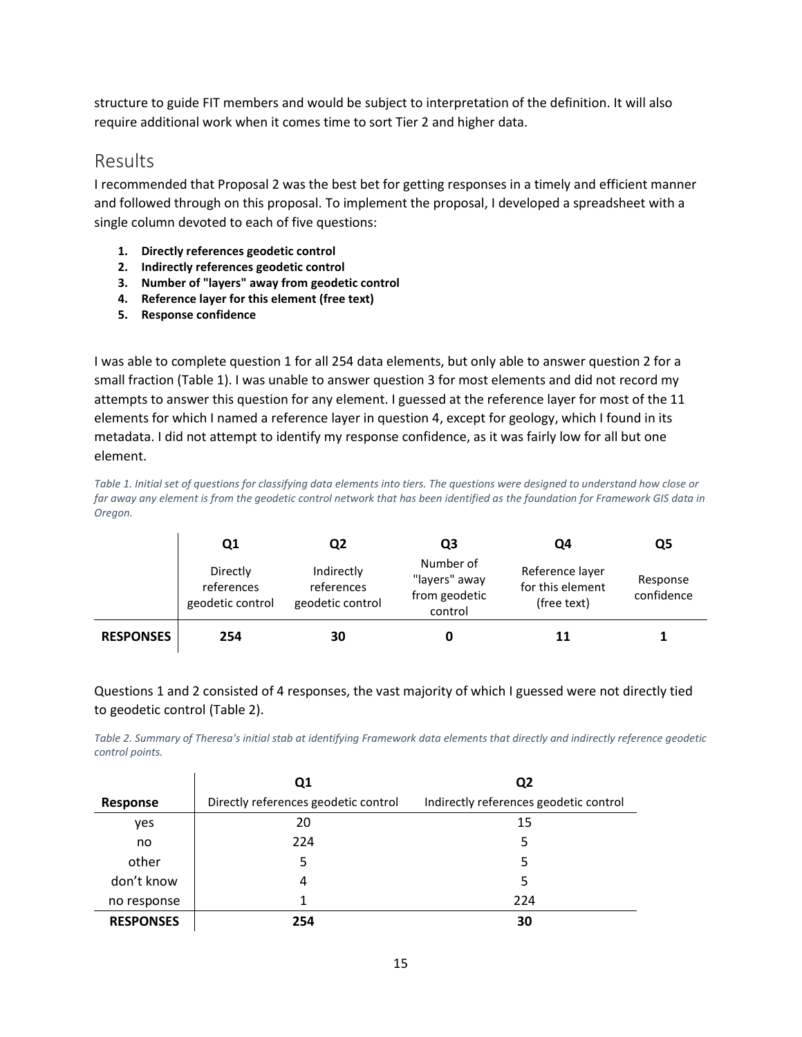structure to guide FIT members and would be subject to interpretation of the definition. It will also require additional work when it comes time to sort Tier 2 and higher data.

#### Results

I recommended that Proposal 2 was the best bet for getting responses in a timely and efficient manner and followed through on this proposal. To implement the proposal, I developed a spreadsheet with a single column devoted to each of five questions:

- **1. Directly references geodetic control**
- **2. Indirectly references geodetic control**
- **3. Number of "layers" away from geodetic control**
- **4. Reference layer for this element (free text)**
- **5. Response confidence**

I was able to complete question 1 for all 254 data elements, but only able to answer question 2 for a small fraction [\(Table 1\)](#page-14-0). I was unable to answer question 3 for most elements and did not record my attempts to answer this question for any element. I guessed at the reference layer for most of the 11 elements for which I named a reference layer in question 4, except for geology, which I found in its metadata. I did not attempt to identify my response confidence, as it was fairly low for all but one element.

<span id="page-14-0"></span>*Table 1. Initial set of questions for classifying data elements into tiers. The questions were designed to understand how close or far away any element is from the geodetic control network that has been identified as the foundation for Framework GIS data in Oregon.*

|                  | Q1                                         | Q2                                           | Q3                                                     | Q4                                                 | Q5                     |
|------------------|--------------------------------------------|----------------------------------------------|--------------------------------------------------------|----------------------------------------------------|------------------------|
|                  | Directly<br>references<br>geodetic control | Indirectly<br>references<br>geodetic control | Number of<br>"layers" away<br>from geodetic<br>control | Reference layer<br>for this element<br>(free text) | Response<br>confidence |
| <b>RESPONSES</b> | 254                                        | 30                                           |                                                        | 11                                                 |                        |

Questions 1 and 2 consisted of 4 responses, the vast majority of which I guessed were not directly tied to geodetic control [\(Table 2\)](#page-14-1).

<span id="page-14-1"></span>*Table 2. Summary of Theresa's initial stab at identifying Framework data elements that directly and indirectly reference geodetic control points.* 

|                  | Q1                                   | Q2                                     |  |
|------------------|--------------------------------------|----------------------------------------|--|
| Response         | Directly references geodetic control | Indirectly references geodetic control |  |
| yes              | 20                                   | 15                                     |  |
| no               | 224                                  | 5                                      |  |
| other            | 5                                    | 5                                      |  |
| don't know       | 4                                    | 5                                      |  |
| no response      |                                      | 224                                    |  |
| <b>RESPONSES</b> | 254                                  | 30                                     |  |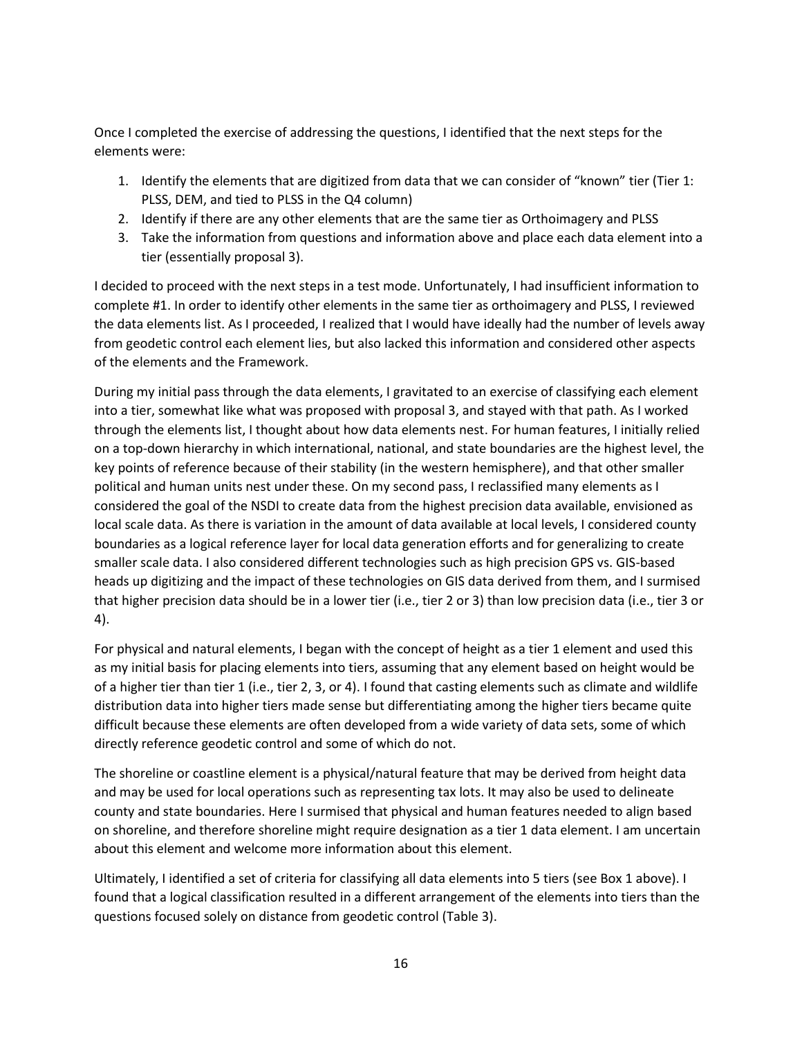Once I completed the exercise of addressing the questions, I identified that the next steps for the elements were:

- 1. Identify the elements that are digitized from data that we can consider of "known" tier (Tier 1: PLSS, DEM, and tied to PLSS in the Q4 column)
- 2. Identify if there are any other elements that are the same tier as Orthoimagery and PLSS
- 3. Take the information from questions and information above and place each data element into a tier (essentially proposal 3).

I decided to proceed with the next steps in a test mode. Unfortunately, I had insufficient information to complete #1. In order to identify other elements in the same tier as orthoimagery and PLSS, I reviewed the data elements list. As I proceeded, I realized that I would have ideally had the number of levels away from geodetic control each element lies, but also lacked this information and considered other aspects of the elements and the Framework.

During my initial pass through the data elements, I gravitated to an exercise of classifying each element into a tier, somewhat like what was proposed with proposal 3, and stayed with that path. As I worked through the elements list, I thought about how data elements nest. For human features, I initially relied on a top-down hierarchy in which international, national, and state boundaries are the highest level, the key points of reference because of their stability (in the western hemisphere), and that other smaller political and human units nest under these. On my second pass, I reclassified many elements as I considered the goal of the NSDI to create data from the highest precision data available, envisioned as local scale data. As there is variation in the amount of data available at local levels, I considered county boundaries as a logical reference layer for local data generation efforts and for generalizing to create smaller scale data. I also considered different technologies such as high precision GPS vs. GIS-based heads up digitizing and the impact of these technologies on GIS data derived from them, and I surmised that higher precision data should be in a lower tier (i.e., tier 2 or 3) than low precision data (i.e., tier 3 or 4).

For physical and natural elements, I began with the concept of height as a tier 1 element and used this as my initial basis for placing elements into tiers, assuming that any element based on height would be of a higher tier than tier 1 (i.e., tier 2, 3, or 4). I found that casting elements such as climate and wildlife distribution data into higher tiers made sense but differentiating among the higher tiers became quite difficult because these elements are often developed from a wide variety of data sets, some of which directly reference geodetic control and some of which do not.

The shoreline or coastline element is a physical/natural feature that may be derived from height data and may be used for local operations such as representing tax lots. It may also be used to delineate county and state boundaries. Here I surmised that physical and human features needed to align based on shoreline, and therefore shoreline might require designation as a tier 1 data element. I am uncertain about this element and welcome more information about this element.

Ultimately, I identified a set of criteria for classifying all data elements into 5 tiers (se[e Box 1](#page-5-0) above). I found that a logical classification resulted in a different arrangement of the elements into tiers than the questions focused solely on distance from geodetic control [\(Table 3\)](#page-16-0).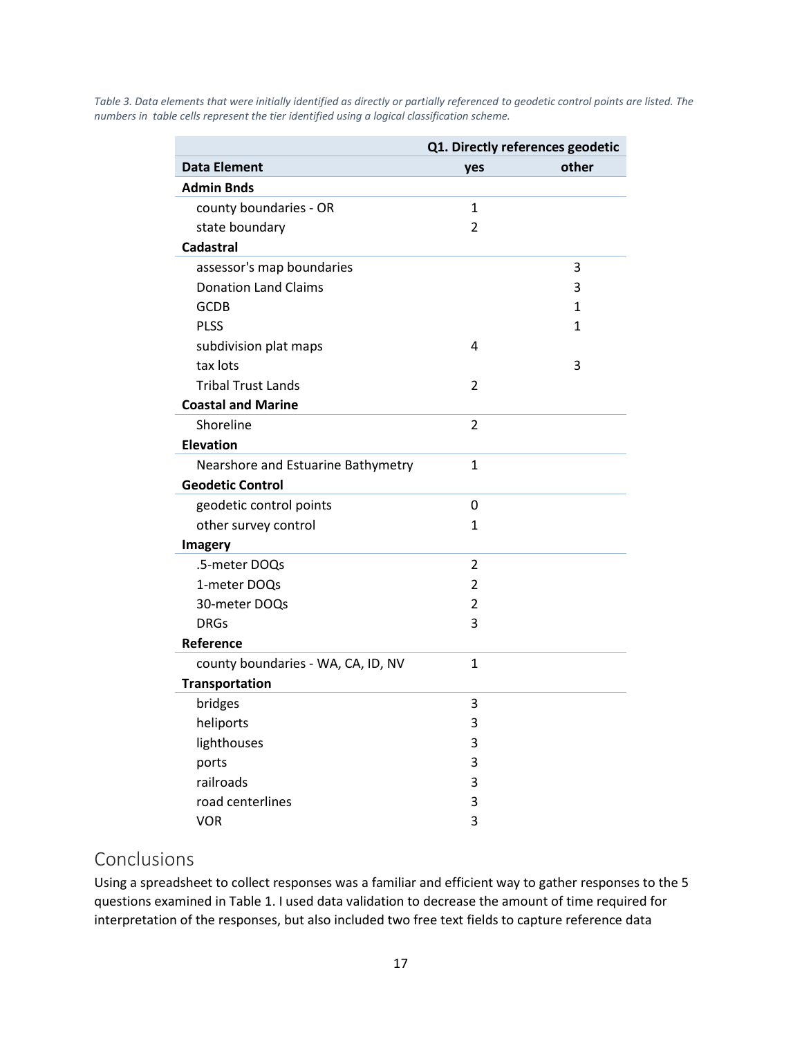|                                    |              | Q1. Directly references geodetic |  |
|------------------------------------|--------------|----------------------------------|--|
| <b>Data Element</b>                | yes          | other                            |  |
| <b>Admin Bnds</b>                  |              |                                  |  |
| county boundaries - OR             | $\mathbf{1}$ |                                  |  |
| state boundary                     | 2            |                                  |  |
| <b>Cadastral</b>                   |              |                                  |  |
| assessor's map boundaries          |              | 3                                |  |
| <b>Donation Land Claims</b>        |              | 3                                |  |
| <b>GCDB</b>                        |              | 1                                |  |
| <b>PLSS</b>                        |              | 1                                |  |
| subdivision plat maps              | 4            |                                  |  |
| tax lots                           |              | 3                                |  |
| <b>Tribal Trust Lands</b>          | 2            |                                  |  |
| <b>Coastal and Marine</b>          |              |                                  |  |
| Shoreline                          | 2            |                                  |  |
| <b>Elevation</b>                   |              |                                  |  |
| Nearshore and Estuarine Bathymetry | $\mathbf{1}$ |                                  |  |
| <b>Geodetic Control</b>            |              |                                  |  |
| geodetic control points            | 0            |                                  |  |
| other survey control               | $\mathbf{1}$ |                                  |  |
| <b>Imagery</b>                     |              |                                  |  |
| .5-meter DOQs                      | 2            |                                  |  |
| 1-meter DOQs                       | 2            |                                  |  |
| 30-meter DOQs                      | 2            |                                  |  |
| <b>DRGs</b>                        | 3            |                                  |  |
| Reference                          |              |                                  |  |
| county boundaries - WA, CA, ID, NV | $\mathbf{1}$ |                                  |  |
| <b>Transportation</b>              |              |                                  |  |
| bridges                            | 3            |                                  |  |
| heliports                          | 3            |                                  |  |
| lighthouses                        | 3            |                                  |  |
| ports                              | 3            |                                  |  |
| railroads                          | 3            |                                  |  |
| road centerlines                   | 3            |                                  |  |
| <b>VOR</b>                         | 3            |                                  |  |

<span id="page-16-0"></span>*Table 3. Data elements that were initially identified as directly or partially referenced to geodetic control points are listed. The numbers in table cells represent the tier identified using a logical classification scheme.*

### Conclusions

Using a spreadsheet to collect responses was a familiar and efficient way to gather responses to the 5 questions examined in [Table 1.](#page-14-0) I used data validation to decrease the amount of time required for interpretation of the responses, but also included two free text fields to capture reference data